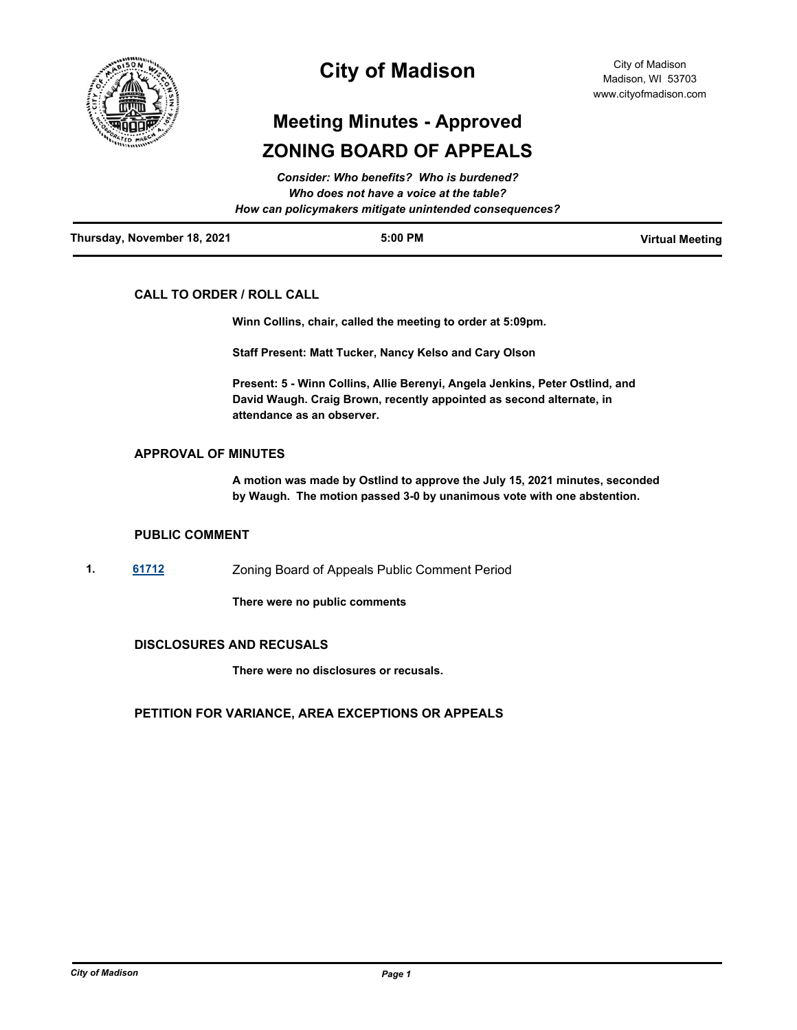

## **City of Madison**

# **Meeting Minutes - Approved ZONING BOARD OF APPEALS**

| Thursday, November 18, 2021 | $5:00$ PM                                              | <b>Virtual Meeting</b> |
|-----------------------------|--------------------------------------------------------|------------------------|
|                             | How can policymakers mitigate unintended consequences? |                        |
|                             | Who does not have a voice at the table?                |                        |
|                             | <b>Consider: Who benefits? Who is burdened?</b>        |                        |

## **CALL TO ORDER / ROLL CALL**

**Winn Collins, chair, called the meeting to order at 5:09pm.** 

**Staff Present: Matt Tucker, Nancy Kelso and Cary Olson**

**Present: 5 - Winn Collins, Allie Berenyi, Angela Jenkins, Peter Ostlind, and David Waugh. Craig Brown, recently appointed as second alternate, in attendance as an observer.**

#### **APPROVAL OF MINUTES**

**A motion was made by Ostlind to approve the July 15, 2021 minutes, seconded by Waugh. The motion passed 3-0 by unanimous vote with one abstention.**

#### **PUBLIC COMMENT**

**1. [61712](http://madison.legistar.com/gateway.aspx?m=l&id=/matter.aspx?key=72415)** Zoning Board of Appeals Public Comment Period

**There were no public comments**

### **DISCLOSURES AND RECUSALS**

**There were no disclosures or recusals.**

## **PETITION FOR VARIANCE, AREA EXCEPTIONS OR APPEALS**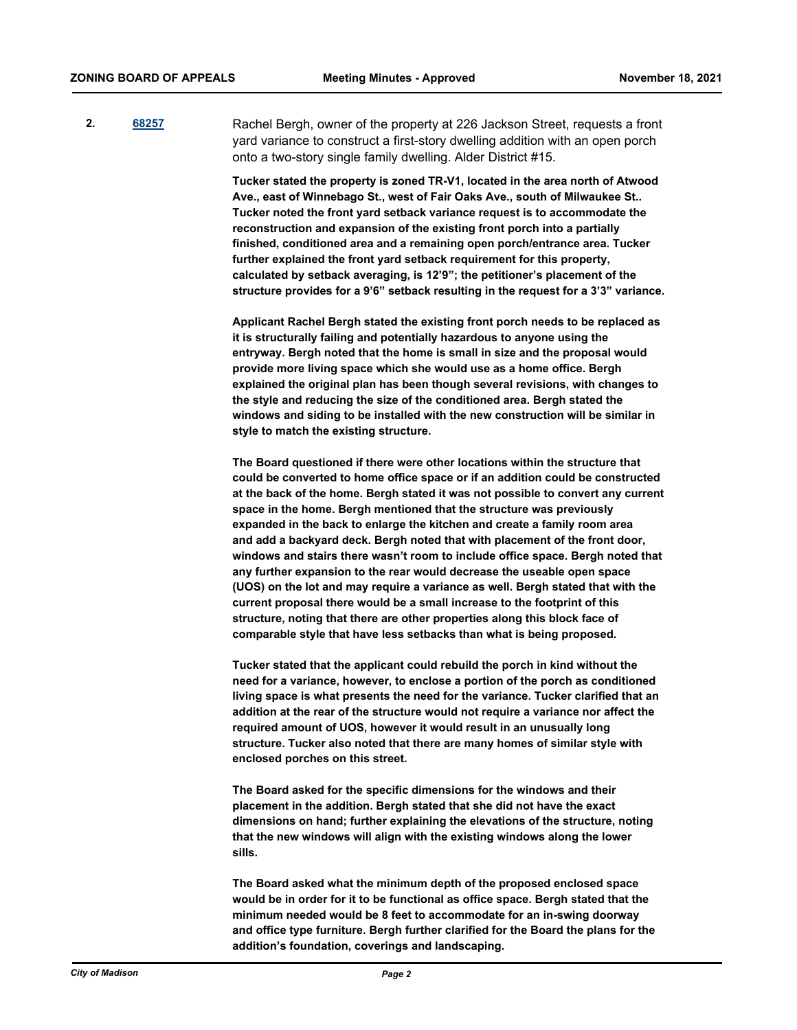**2. [68257](http://madison.legistar.com/gateway.aspx?m=l&id=/matter.aspx?key=79982)** Rachel Bergh, owner of the property at 226 Jackson Street, requests a front yard variance to construct a first-story dwelling addition with an open porch onto a two-story single family dwelling. Alder District #15.

> **Tucker stated the property is zoned TR-V1, located in the area north of Atwood Ave., east of Winnebago St., west of Fair Oaks Ave., south of Milwaukee St.. Tucker noted the front yard setback variance request is to accommodate the reconstruction and expansion of the existing front porch into a partially finished, conditioned area and a remaining open porch/entrance area. Tucker further explained the front yard setback requirement for this property, calculated by setback averaging, is 12'9"; the petitioner's placement of the structure provides for a 9'6" setback resulting in the request for a 3'3" variance.**

> **Applicant Rachel Bergh stated the existing front porch needs to be replaced as it is structurally failing and potentially hazardous to anyone using the entryway. Bergh noted that the home is small in size and the proposal would provide more living space which she would use as a home office. Bergh explained the original plan has been though several revisions, with changes to the style and reducing the size of the conditioned area. Bergh stated the windows and siding to be installed with the new construction will be similar in style to match the existing structure.**

> **The Board questioned if there were other locations within the structure that could be converted to home office space or if an addition could be constructed at the back of the home. Bergh stated it was not possible to convert any current space in the home. Bergh mentioned that the structure was previously expanded in the back to enlarge the kitchen and create a family room area and add a backyard deck. Bergh noted that with placement of the front door, windows and stairs there wasn't room to include office space. Bergh noted that any further expansion to the rear would decrease the useable open space (UOS) on the lot and may require a variance as well. Bergh stated that with the current proposal there would be a small increase to the footprint of this structure, noting that there are other properties along this block face of comparable style that have less setbacks than what is being proposed.**

**Tucker stated that the applicant could rebuild the porch in kind without the need for a variance, however, to enclose a portion of the porch as conditioned living space is what presents the need for the variance. Tucker clarified that an addition at the rear of the structure would not require a variance nor affect the required amount of UOS, however it would result in an unusually long structure. Tucker also noted that there are many homes of similar style with enclosed porches on this street.**

**The Board asked for the specific dimensions for the windows and their placement in the addition. Bergh stated that she did not have the exact dimensions on hand; further explaining the elevations of the structure, noting that the new windows will align with the existing windows along the lower sills.**

**The Board asked what the minimum depth of the proposed enclosed space would be in order for it to be functional as office space. Bergh stated that the minimum needed would be 8 feet to accommodate for an in-swing doorway and office type furniture. Bergh further clarified for the Board the plans for the addition's foundation, coverings and landscaping.**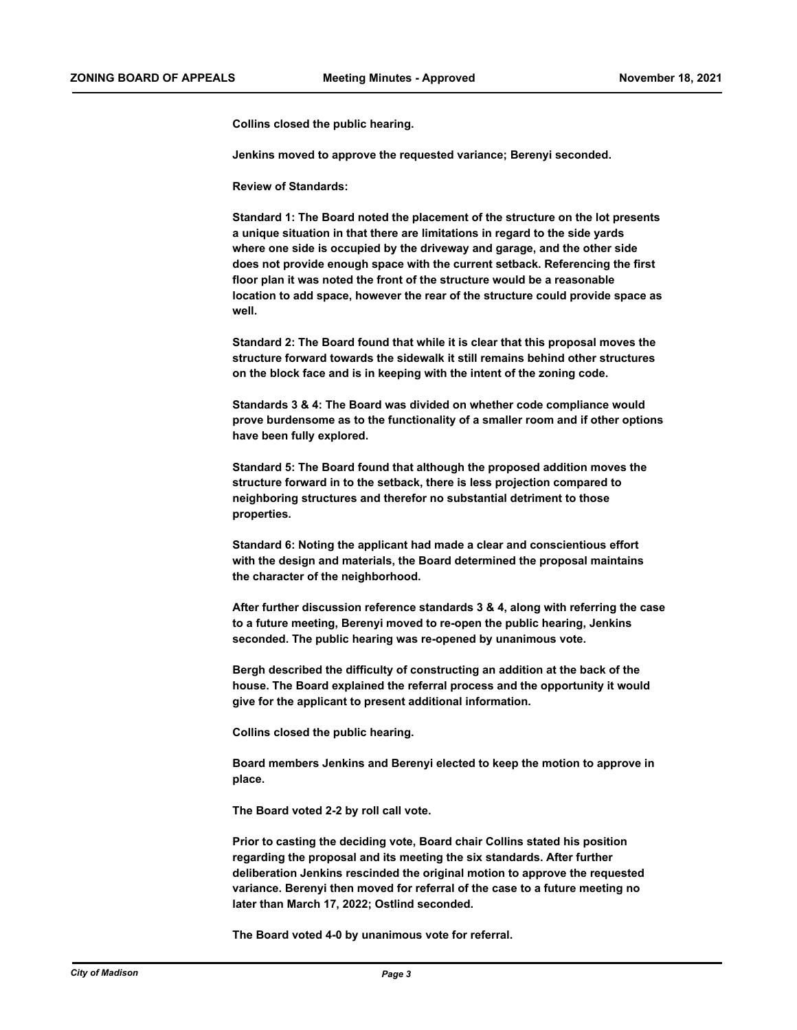**Collins closed the public hearing.** 

**Jenkins moved to approve the requested variance; Berenyi seconded.**

**Review of Standards:**

**Standard 1: The Board noted the placement of the structure on the lot presents a unique situation in that there are limitations in regard to the side yards where one side is occupied by the driveway and garage, and the other side does not provide enough space with the current setback. Referencing the first floor plan it was noted the front of the structure would be a reasonable location to add space, however the rear of the structure could provide space as well.**

**Standard 2: The Board found that while it is clear that this proposal moves the structure forward towards the sidewalk it still remains behind other structures on the block face and is in keeping with the intent of the zoning code.**

**Standards 3 & 4: The Board was divided on whether code compliance would prove burdensome as to the functionality of a smaller room and if other options have been fully explored.**

**Standard 5: The Board found that although the proposed addition moves the structure forward in to the setback, there is less projection compared to neighboring structures and therefor no substantial detriment to those properties.**

**Standard 6: Noting the applicant had made a clear and conscientious effort with the design and materials, the Board determined the proposal maintains the character of the neighborhood.**

**After further discussion reference standards 3 & 4, along with referring the case to a future meeting, Berenyi moved to re-open the public hearing, Jenkins seconded. The public hearing was re-opened by unanimous vote.**

**Bergh described the difficulty of constructing an addition at the back of the house. The Board explained the referral process and the opportunity it would give for the applicant to present additional information.** 

**Collins closed the public hearing.**

**Board members Jenkins and Berenyi elected to keep the motion to approve in place.**

**The Board voted 2-2 by roll call vote.** 

**Prior to casting the deciding vote, Board chair Collins stated his position regarding the proposal and its meeting the six standards. After further deliberation Jenkins rescinded the original motion to approve the requested variance. Berenyi then moved for referral of the case to a future meeting no later than March 17, 2022; Ostlind seconded.**

**The Board voted 4-0 by unanimous vote for referral.**